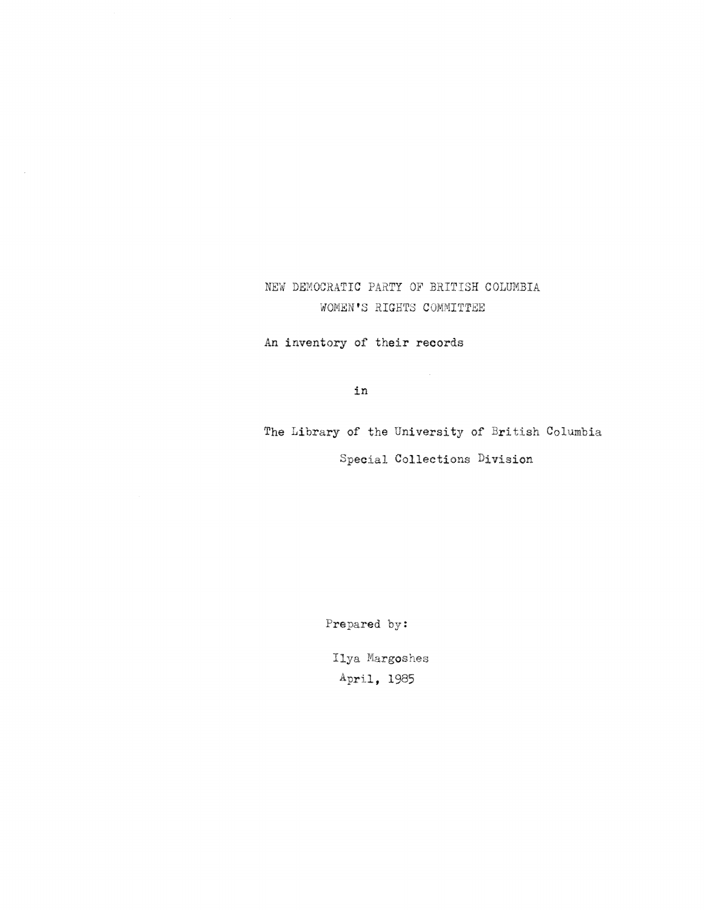# NEW DEMOCRATIC PARTY OF BRITISH COLUMBIA WOMEN'S RIGHTS COMMITTEE

An inventory of their records

in

The Library of the University of British Columbia Special Collections Division

 $\sim 10$ 

Prepared by:

Ilya Margoshes April, 1985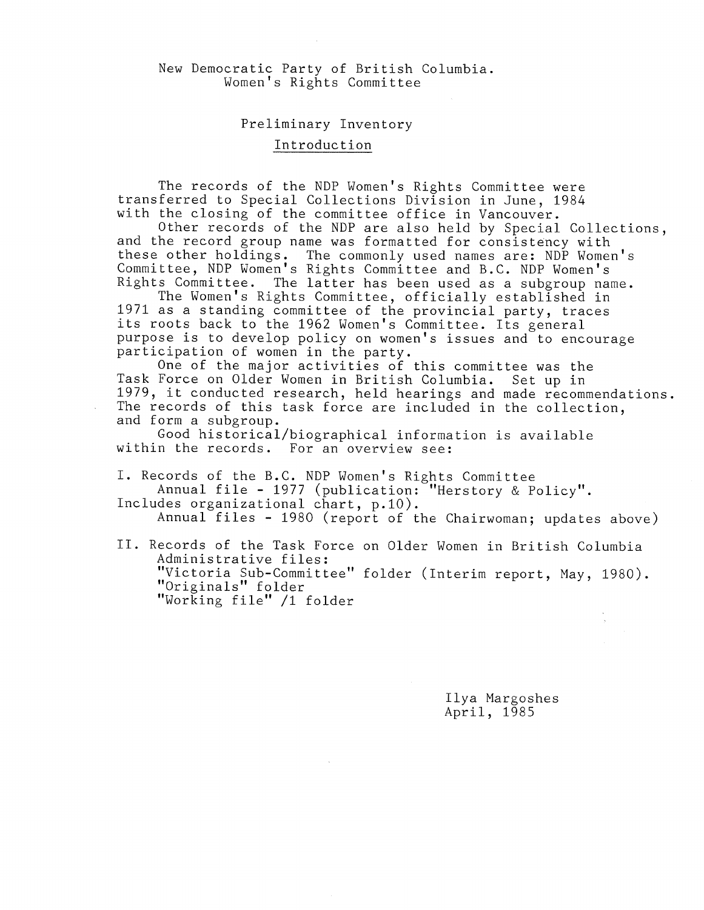## New Democratic Party of British Columbia . Women's Rights Committee

### Preliminary Inventory

## Introduction

The records of the NDP Women's Rights Committee were transferred to Special Collections Division in June, 1984 with the closing of the committee office in Vancouver.

Other records of the NDP are also held by Special Collections, and the record group name was formatted for consistency with these other holdings. The commonly used names are: NDP Women's Committee, NDP Women's Rights Committee and B.C. NDP Women's Rights Committee. The latter has been used as a subgroup name.

The Women's Rights Committee, officially established in 1971 as a standing committee of the provincial party, traces its roots back to the 1962 Women's Committee. Its general purpose is to develop policy on women's issues and to encourage participation of women in the party.

One of the major activities of this committee was the Task Force on Older Women in British Columbia. Set up in 1979, it conducted research, held hearings and made recommendations . The records of this task force are included in the collection, and form a subgroup .

Good historical/biographical information is available within the records. For an overview see:

I. Records of the B.C. NDP Women's Rights Committee Annual file - 1977 (publication: "Herstory & Policy". Includes organizational chart, p.10).

Annual files - 1980 (report of the Chairwoman; updates above)

II. Records of the Task Force on Older Women in British Columbia Administrative files : "Victoria Sub-Committee" folder (Interim report, May, 1980). "Originals" folder "Working file" /1 folder

> Ilya Margoshes April, 1985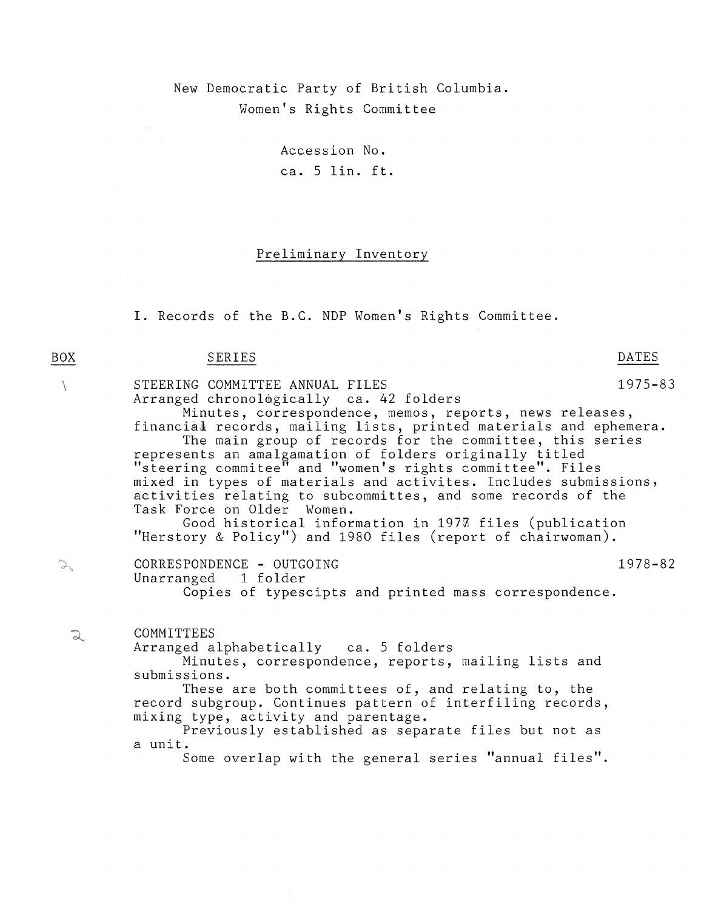New Democratic Party of British Columbia . Women's Rights Committee

> Accession No . ca. 5 lin. ft.

# Preliminary Inventory

I. Records of the B.C. NDP Women's Rights Committee.

## BOX SERIES SERIES

 $\overline{L}$ 

yan.<br>Filmog

 $\mathbb{Q}$ 

STEERING COMMITTEE ANNUAL FILES 1975-83 Arranged chronologically ca. 42 folders Minutes, correspondence, memos, reports, news releases , financial records, mailing lists, printed materials and ephemera . The main group of records for the committee, this series represents an amalgamation of folders originally titled  $\mathrm{''}$ steering commitee $\mathrm{''}$  and  $\mathrm{''}$ women $\mathrm{'}$ s rights committee $\mathrm{''}.$  Files mixed in types of materials and activites. Includes submissions, activities relating to subcommittes, and some records of the Task Force on Older Women. Good historical information in  $197\%$  files (publication "Herstory & Policy") and 1980 files (report of chairwoman). CORRESPONDENCE - OUTGOING<br>Unarranged 1 folder Unarranged Copies of typescipts and printed mass correspondence . **COMMITTEES** Arranged alphabetically ca. 5 folders Minutes, correspondence, reports, mailing lists and submissions . These are both committees of, and relating to, the record subgroup. Continues pattern of interfiling records, mixing type, activity and parentage . Previously established as separate files but not as a unit. Some overlap with the general series "annual files".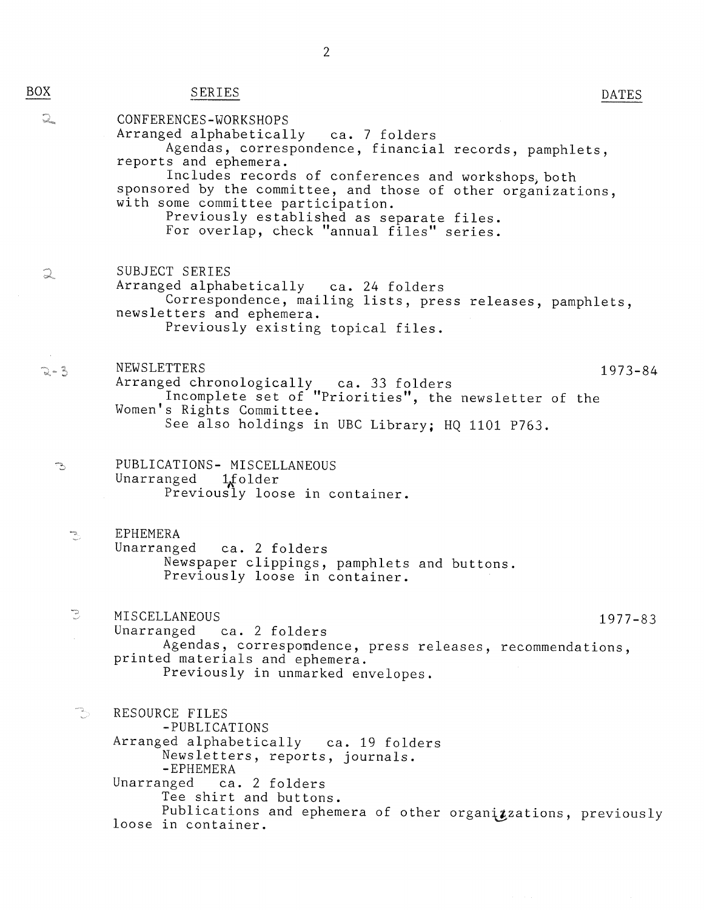BOX

| <u>)X</u>                   | SERIES                                                                                                                                                                                                                                                                                                                                                                                                    | DATES       |
|-----------------------------|-----------------------------------------------------------------------------------------------------------------------------------------------------------------------------------------------------------------------------------------------------------------------------------------------------------------------------------------------------------------------------------------------------------|-------------|
| $\sum_{i=1}^{n}$            | CONFERENCES-WORKSHOPS<br>Arranged alphabetically ca. 7 folders<br>Agendas, correspondence, financial records, pamphlets,<br>reports and ephemera.<br>Includes records of conferences and workshops, both<br>sponsored by the committee, and those of other organizations,<br>with some committee participation.<br>Previously established as separate files.<br>For overlap, check "annual files" series. |             |
| $\widehat{\omega}_{\omega}$ | SUBJECT SERIES<br>Arranged alphabetically ca. 24 folders<br>Correspondence, mailing lists, press releases, pamphlets,<br>newsletters and ephemera.<br>Previously existing topical files.                                                                                                                                                                                                                  |             |
| $2 - 3$                     | <b>NEWSLETTERS</b><br>Arranged chronologically ca. 33 folders<br>Incomplete set of "Priorities", the newsletter of the<br>Women's Rights Committee.<br>See also holdings in UBC Library; HQ 1101 P763.                                                                                                                                                                                                    | $1973 - 84$ |
| ె                           | PUBLICATIONS- MISCELLANEOUS<br>Unarranged 1folder<br>Previously loose in container.                                                                                                                                                                                                                                                                                                                       |             |
| ٦                           | EPHEMERA<br>Unarranged ca. 2 folders<br>Newspaper clippings, pamphlets and buttons.<br>Previously loose in container.                                                                                                                                                                                                                                                                                     |             |
| $\mathbb{Z}$                | MISCELLANEOUS<br>Unarranged ca. 2 folders<br>Agendas, correspondence, press releases, recommendations,<br>printed materials and ephemera.<br>Previously in unmarked envelopes.                                                                                                                                                                                                                            | $1977 - 83$ |
| ್ರೌ                         | RESOURCE FILES<br>-PUBLICATIONS<br>Arranged alphabetically ca. 19 folders<br>Newsletters, reports, journals.<br>-EPHEMERA<br>Unarranged ca. 2 folders<br>Tee shirt and buttons.<br>Publications and ephemera of other organizzations, previously<br>loose in container.                                                                                                                                   |             |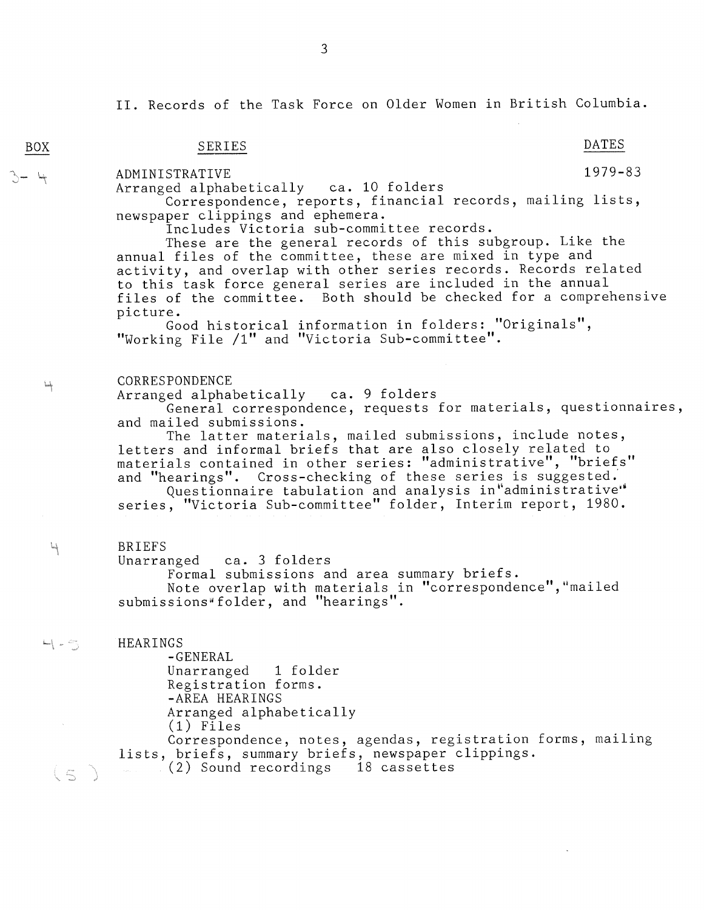II. Records of the Task Force on Older Women in British Columbia.

# SERIES DATES

ADMINISTRATIVE 1979-83

Arranged alphabetically ca. 10 folders

Correspondence, reports, financial records, mailing lists, newspaper clippings and ephemera .

Includes Victoria sub-committee records .

These are the general records of this subgroup. Like the annual files of the committee, these are mixed in type and activity, and overlap with other series records . Records related to this task force general series are included in the annual files of the committee. Both should be checked for a comprehensive picture .

Good historical information in folders: "Originals", "Working File /1" and "Victoria Sub-committee".

#### **CORRESPONDENCE**

Arranged alphabetically ca. 9 folders

General correspondence, requests for materials, questionnaires , and mailed submissions .

The latter materials, mailed submissions, include notes, letters and informal briefs that are also closely related to materials contained in other series:  $\mathsf{''}$ administrative $\mathsf{''},$   $\mathsf{''}$ briefs $\mathsf{''}$ and "hearings". Cross-checking of these series is suggested.

Questionnaire tabulation and analysis in"administrative" series, "Victoria Sub-committee" folder, Interim report, 1980.

#### BRIEFS

Unarranged ca. 3 folders

Formal submissions and area summary briefs . Note overlap with materials in "correspondence","mailed submissions folder, and "hearings " .

**HEARINGS** 

-GENERAL Unarranged 1 folder Registration forms . -AREA HEARINGS Arranged alphabetically  $(1)$  Files

Correspondence, notes, agendas, registration forms, mailing lists, briefs, summary briefs, newspaper clippings . (2) Sound recordings 18 cassettes

BOX

 $\downarrow$ 

 $\mathcal{C}$ 

 $\leftarrow$   $\leftarrow$   $\sim$ 

 $\subset$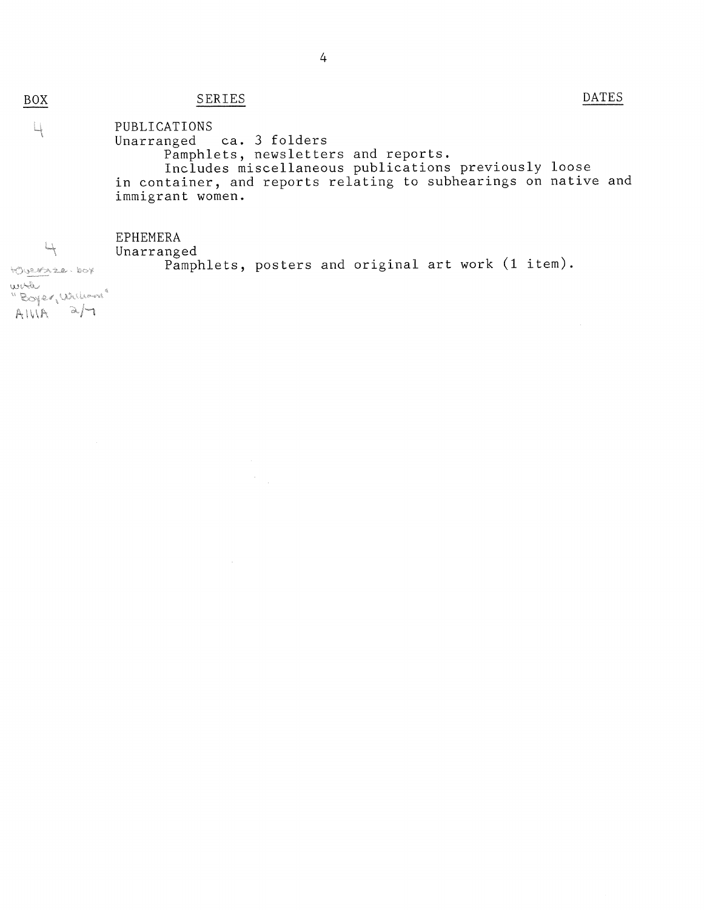# SERIES DATES

 $\label{eq:2} \frac{1}{\sqrt{2}}\sum_{i=1}^n \frac{1}{\sqrt{2}}\sum_{i=1}^n \frac{1}{\sqrt{2}}\sum_{i=1}^n \frac{1}{\sqrt{2}}\sum_{i=1}^n \frac{1}{\sqrt{2}}\sum_{i=1}^n \frac{1}{\sqrt{2}}\sum_{i=1}^n \frac{1}{\sqrt{2}}\sum_{i=1}^n \frac{1}{\sqrt{2}}\sum_{i=1}^n \frac{1}{\sqrt{2}}\sum_{i=1}^n \frac{1}{\sqrt{2}}\sum_{i=1}^n \frac{1}{\sqrt{2}}\sum_{i=1}^n \frac{1$ 

#### PUBLICATIONS Ц Unarranged ca. 3 folders Pamphlets, newsletters and reports . Includes miscellaneous publications previously loose in container, and reports relating to subhearings on native and immigrant women .

**EPHEMERA** 

Unarranged Pamphlets, posters and original art work (1 item) .

HOUREALE, DOY work "Boyer, William" AIVIA a/

 $4$ 

BOX